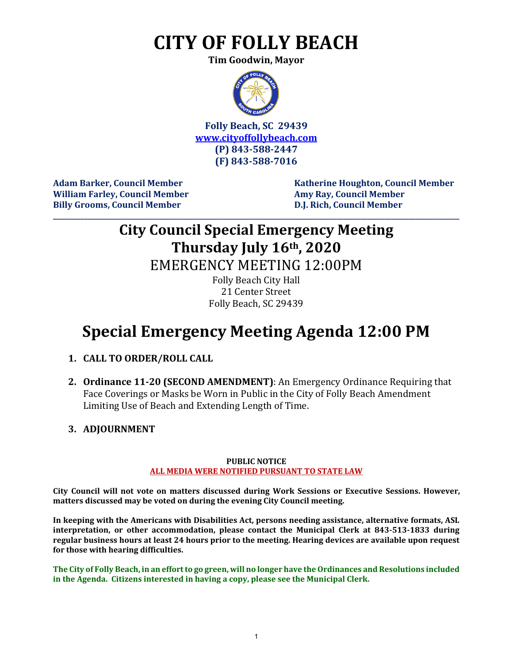# **CITY OF FOLLY BEACH**

**Tim Goodwin, Mayor**



**Folly Beach, SC 29439 [www.cityoffollybeach.com](http://www.cityoffollybeach.com/) (P) 843-588-2447 (F) 843-588-7016**

**William Farley, Council Member Amy Ray, Council Member Billy Grooms, Council Member D.J. Rich, Council Member**

**Adam Barker, Council Member Katherine Houghton, Council Member**

### **City Council Special Emergency Meeting Thursday July 16th, 2020**

**\_\_\_\_\_\_\_\_\_\_\_\_\_\_\_\_\_\_\_\_\_\_\_\_\_\_\_\_\_\_\_\_\_\_\_\_\_\_\_\_\_\_\_\_\_\_\_\_\_\_\_\_\_\_\_\_\_\_\_\_\_\_\_\_\_\_\_\_\_\_\_\_\_\_\_\_\_\_\_\_\_\_\_\_\_\_\_\_\_\_\_\_\_\_\_\_\_\_\_\_\_\_\_\_\_\_\_\_\_\_\_\_\_\_\_\_\_\_\_**

EMERGENCY MEETING 12:00PM

Folly Beach City Hall 21 Center Street Folly Beach, SC 29439

## **Special Emergency Meeting Agenda 12:00 PM**

- **1. CALL TO ORDER/ROLL CALL**
- **2. Ordinance 11-20 (SECOND AMENDMENT)**: An Emergency Ordinance Requiring that Face Coverings or Masks be Worn in Public in the City of Folly Beach Amendment Limiting Use of Beach and Extending Length of Time.
- **3. ADJOURNMENT**

#### **PUBLIC NOTICE ALL MEDIA WERE NOTIFIED PURSUANT TO STATE LAW**

**City Council will not vote on matters discussed during Work Sessions or Executive Sessions. However, matters discussed may be voted on during the evening City Council meeting.** 

**In keeping with the Americans with Disabilities Act, persons needing assistance, alternative formats, ASL interpretation, or other accommodation, please contact the Municipal Clerk at 843-513-1833 during regular business hours at least 24 hours prior to the meeting. Hearing devices are available upon request for those with hearing difficulties.**

**The City of Folly Beach, in an effort to go green, will no longer have the Ordinances and Resolutions included in the Agenda. Citizens interested in having a copy, please see the Municipal Clerk.**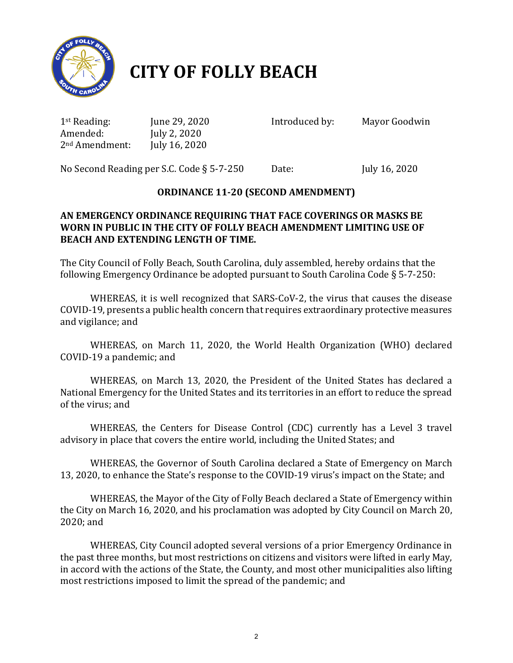

# **CITY OF FOLLY BEACH**

1st Reading: June 29, 2020 Introduced by:Mayor Goodwin 2<sup>nd</sup> Amendment:

July 2, 2020<br>July 16, 2020

No Second Reading per S.C. Code § 5-7-250 Date: July 16, 2020

### **ORDINANCE 11-20 (SECOND AMENDMENT)**

### **AN EMERGENCY ORDINANCE REQUIRING THAT FACE COVERINGS OR MASKS BE WORN IN PUBLIC IN THE CITY OF FOLLY BEACH AMENDMENT LIMITING USE OF BEACH AND EXTENDING LENGTH OF TIME.**

The City Council of Folly Beach, South Carolina, duly assembled, hereby ordains that the following Emergency Ordinance be adopted pursuant to South Carolina Code § 5-7-250:

WHEREAS, it is well recognized that SARS-CoV-2, the virus that causes the disease COVID-19, presents a public health concern that requires extraordinary protective measures and vigilance; and

WHEREAS, on March 11, 2020, the World Health Organization (WHO) declared COVID-19 a pandemic; and

WHEREAS, on March 13, 2020, the President of the United States has declared a National Emergency for the United States and its territories in an effort to reduce the spread of the virus; and

WHEREAS, the Centers for Disease Control (CDC) currently has a Level 3 travel advisory in place that covers the entire world, including the United States; and

WHEREAS, the Governor of South Carolina declared a State of Emergency on March 13, 2020, to enhance the State's response to the COVID-19 virus's impact on the State; and

WHEREAS, the Mayor of the City of Folly Beach declared a State of Emergency within the City on March 16, 2020, and his proclamation was adopted by City Council on March 20, 2020; and

WHEREAS, City Council adopted several versions of a prior Emergency Ordinance in the past three months, but most restrictions on citizens and visitors were lifted in early May, in accord with the actions of the State, the County, and most other municipalities also lifting most restrictions imposed to limit the spread of the pandemic; and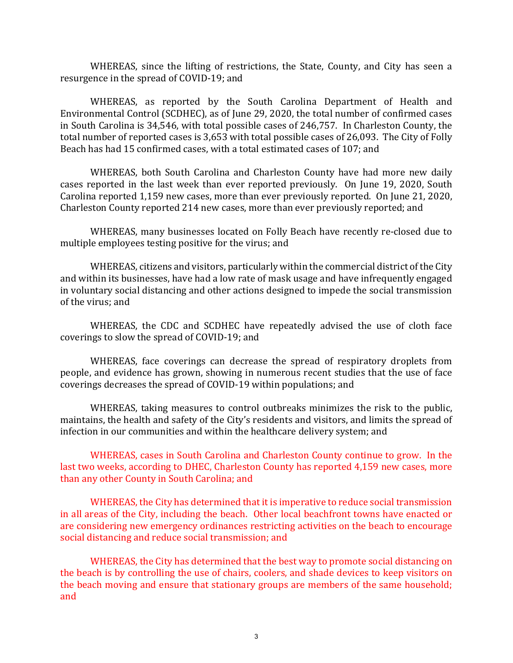WHEREAS, since the lifting of restrictions, the State, County, and City has seen a resurgence in the spread of COVID-19; and

WHEREAS, as reported by the South Carolina Department of Health and Environmental Control (SCDHEC), as of June 29, 2020, the total number of confirmed cases in South Carolina is 34,546, with total possible cases of 246,757. In Charleston County, the total number of reported cases is 3,653 with total possible cases of 26,093. The City of Folly Beach has had 15 confirmed cases, with a total estimated cases of 107; and

WHEREAS, both South Carolina and Charleston County have had more new daily cases reported in the last week than ever reported previously. On June 19, 2020, South Carolina reported 1,159 new cases, more than ever previously reported. On June 21, 2020, Charleston County reported 214 new cases, more than ever previously reported; and

WHEREAS, many businesses located on Folly Beach have recently re-closed due to multiple employees testing positive for the virus; and

WHEREAS, citizens and visitors, particularly within the commercial district of the City and within its businesses, have had a low rate of mask usage and have infrequently engaged in voluntary social distancing and other actions designed to impede the social transmission of the virus; and

WHEREAS, the CDC and SCDHEC have repeatedly advised the use of cloth face coverings to slow the spread of COVID-19; and

WHEREAS, face coverings can decrease the spread of respiratory droplets from people, and evidence has grown, showing in numerous recent studies that the use of face coverings decreases the spread of COVID-19 within populations; and

WHEREAS, taking measures to control outbreaks minimizes the risk to the public, maintains, the health and safety of the City's residents and visitors, and limits the spread of infection in our communities and within the healthcare delivery system; and

WHEREAS, cases in South Carolina and Charleston County continue to grow. In the last two weeks, according to DHEC, Charleston County has reported 4,159 new cases, more than any other County in South Carolina; and

WHEREAS, the City has determined that it is imperative to reduce social transmission in all areas of the City, including the beach. Other local beachfront towns have enacted or are considering new emergency ordinances restricting activities on the beach to encourage social distancing and reduce social transmission; and

WHEREAS, the City has determined that the best way to promote social distancing on the beach is by controlling the use of chairs, coolers, and shade devices to keep visitors on the beach moving and ensure that stationary groups are members of the same household; and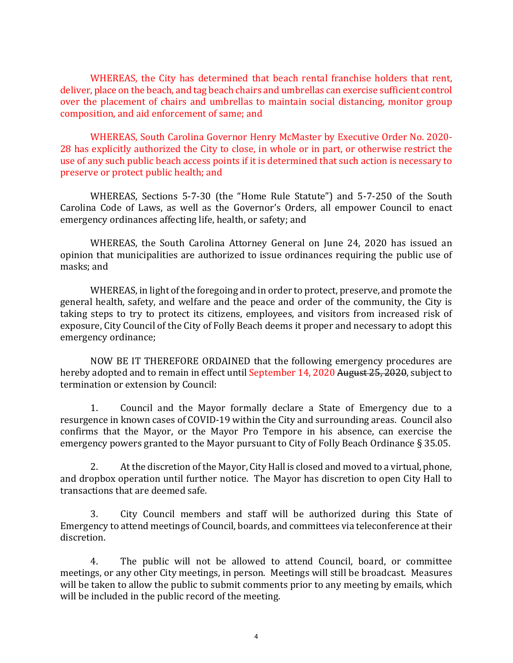WHEREAS, the City has determined that beach rental franchise holders that rent, deliver, place on the beach, and tag beach chairs and umbrellas can exercise sufficient control over the placement of chairs and umbrellas to maintain social distancing, monitor group composition, and aid enforcement of same; and

WHEREAS, South Carolina Governor Henry McMaster by Executive Order No. 2020- 28 has explicitly authorized the City to close, in whole or in part, or otherwise restrict the use of any such public beach access points if it is determined that such action is necessary to preserve or protect public health; and

WHEREAS, Sections 5-7-30 (the "Home Rule Statute") and 5-7-250 of the South Carolina Code of Laws, as well as the Governor's Orders, all empower Council to enact emergency ordinances affecting life, health, or safety; and

WHEREAS, the South Carolina Attorney General on June 24, 2020 has issued an opinion that municipalities are authorized to issue ordinances requiring the public use of masks; and

WHEREAS, in light of the foregoing and in order to protect, preserve, and promote the general health, safety, and welfare and the peace and order of the community, the City is taking steps to try to protect its citizens, employees, and visitors from increased risk of exposure, City Council of the City of Folly Beach deems it proper and necessary to adopt this emergency ordinance;

NOW BE IT THEREFORE ORDAINED that the following emergency procedures are hereby adopted and to remain in effect until September 14, 2020 August 25, 2020, subject to termination or extension by Council:

1. Council and the Mayor formally declare a State of Emergency due to a resurgence in known cases of COVID-19 within the City and surrounding areas. Council also confirms that the Mayor, or the Mayor Pro Tempore in his absence, can exercise the emergency powers granted to the Mayor pursuant to City of Folly Beach Ordinance § 35.05.

 $2.$ 2. At the discretion of the Mayor, City Hall is closed and moved to a virtual, phone, and dropbox operation until further notice. The Mayor has discretion to open City Hall to transactions that are deemed safe.

3. City Council members and staff will be authorized during this State of Emergency to attend meetings of Council, boards, and committees via teleconference at their discretion.

4. The public will not be allowed to attend Council, board, or committee meetings, or any other City meetings, in person. Meetings will still be broadcast. Measures will be taken to allow the public to submit comments prior to any meeting by emails, which will be included in the public record of the meeting.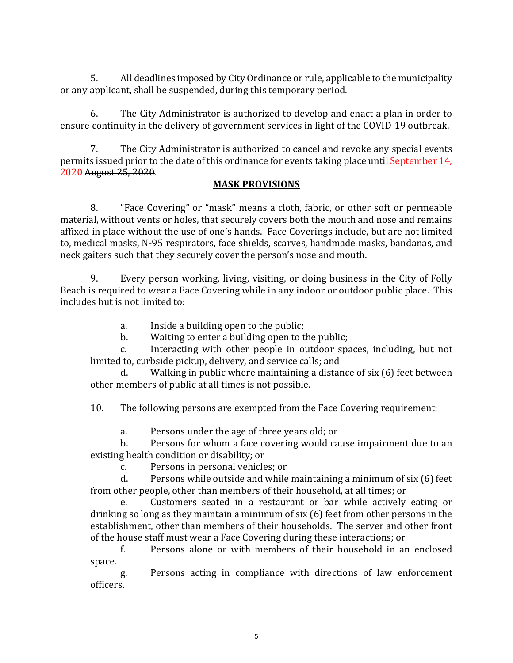5. All deadlines imposed by City Ordinance or rule, applicable to the municipality or any applicant, shall be suspended, during this temporary period.

6. The City Administrator is authorized to develop and enact a plan in order to ensure continuity in the delivery of government services in light of the COVID-19 outbreak.

7. The City Administrator is authorized to cancel and revoke any special events permits issued prior to the date of this ordinance for events taking place until September 14, 2020 August 25, 2020.

#### **MASK PROVISIONS**

8. "Face Covering" or "mask" means a cloth, fabric, or other soft or permeable material, without vents or holes, that securely covers both the mouth and nose and remains affixed in place without the use of one's hands. Face Coverings include, but are not limited to, medical masks, N-95 respirators, face shields, scarves, handmade masks, bandanas, and neck gaiters such that they securely cover the person's nose and mouth.

9. Every person working, living, visiting, or doing business in the City of Folly Beach is required to wear a Face Covering while in any indoor or outdoor public place. This includes but is not limited to:

- a. Inside a building open to the public;<br>b. Waiting to enter a building open to the
- b. Waiting to enter a building open to the public;<br>c. Interacting with other people in outdoor spa

Interacting with other people in outdoor spaces, including, but not limited to, curbside pickup, delivery, and service calls; and

Walking in public where maintaining a distance of six (6) feet between other members of public at all times is not possible.

10. The following persons are exempted from the Face Covering requirement:

a. Persons under the age of three years old; or<br>b. Persons for whom a face covering would ca

Persons for whom a face covering would cause impairment due to an existing health condition or disability; or<br>c. Persons in personal vehicle

c. Persons in personal vehicles; or<br>d. Persons while outside and while

Persons while outside and while maintaining a minimum of six (6) feet from other people, other than members of their household, at all times; or<br>e. Customers seated in a restaurant or bar while actively

Customers seated in a restaurant or bar while actively eating or drinking so long as they maintain a minimum of six (6) feet from other persons in the establishment, other than members of their households. The server and other front of the house staff must wear a Face Covering during these interactions; or<br>f. Persons alone or with members of their household in are

f. Persons alone or with members of their household in an enclosed space.

g. Persons acting in compliance with directions of law enforcement officers.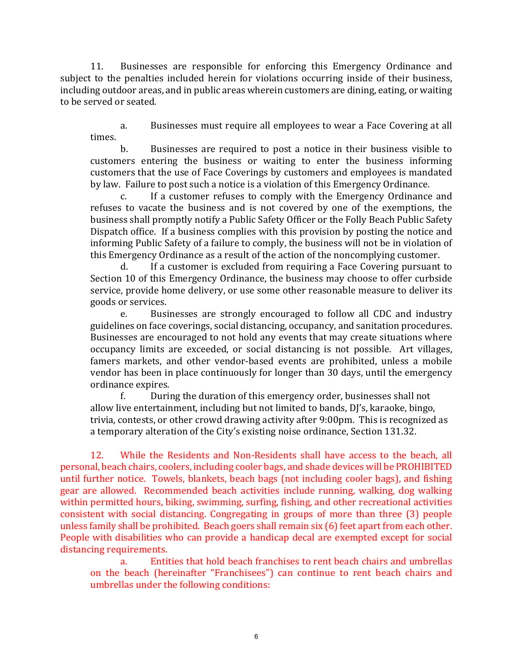11. Businesses are responsible for enforcing this Emergency Ordinance and subject to the penalties included herein for violations occurring inside of their business, including outdoor areas, and in public areas wherein customers are dining, eating, or waiting to be served or seated.

a. Businesses must require all employees to wear a Face Covering at all times.

b. Businesses are required to post a notice in their business visible to customers entering the business or waiting to enter the business informing customers that the use of Face Coverings by customers and employees is mandated by law. Failure to post such a notice is a violation of this Emergency Ordinance.

c. If a customer refuses to comply with the Emergency Ordinance and refuses to vacate the business and is not covered by one of the exemptions, the business shall promptly notify a Public Safety Officer or the Folly Beach Public Safety Dispatch office. If a business complies with this provision by posting the notice and informing Public Safety of a failure to comply, the business will not be in violation of this Emergency Ordinance as a result of the action of the noncomplying customer.<br>d. If a customer is excluded from requiring a Face Covering pursuant

If a customer is excluded from requiring a Face Covering pursuant to Section 10 of this Emergency Ordinance, the business may choose to offer curbside service, provide home delivery, or use some other reasonable measure to deliver its goods or services.<br>e. Busi

Businesses are strongly encouraged to follow all CDC and industry guidelines on face coverings, social distancing, occupancy, and sanitation procedures. Businesses are encouraged to not hold any events that may create situations where occupancy limits are exceeded, or social distancing is not possible. Art villages, famers markets, and other vendor-based events are prohibited, unless a mobile vendor has been in place continuously for longer than 30 days, until the emergency ordinance expires.<br>f. Duri

During the duration of this emergency order, businesses shall not allow live entertainment, including but not limited to bands, DJ's, karaoke, bingo, trivia, contests, or other crowd drawing activity after 9:00pm. This is recognized as a temporary alteration of the City's existing noise ordinance, Section 131.32.

12. While the Residents and Non-Residents shall have access to the beach, all personal, beach chairs, coolers, including cooler bags, and shade devices will be PROHIBITED until further notice. Towels, blankets, beach bags (not including cooler bags), and fishing gear are allowed. Recommended beach activities include running, walking, dog walking within permitted hours, biking, swimming, surfing, fishing, and other recreational activities consistent with social distancing. Congregating in groups of more than three (3) people unless family shall be prohibited. Beach goers shall remain six (6) feet apart from each other. People with disabilities who can provide a handicap decal are exempted except for social distancing requirements.<br>a. Fintit

Entities that hold beach franchises to rent beach chairs and umbrellas on the beach (hereinafter "Franchisees") can continue to rent beach chairs and umbrellas under the following conditions: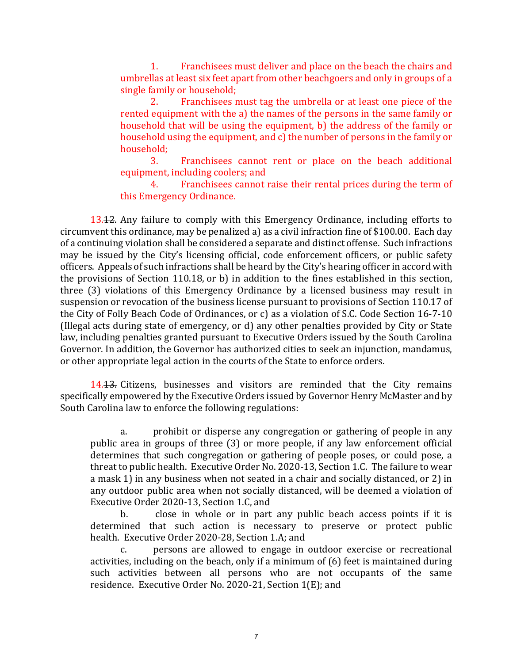1. Franchisees must deliver and place on the beach the chairs and umbrellas at least six feet apart from other beachgoers and only in groups of a single family or household;<br>2. Franchisees n

2. Franchisees must tag the umbrella or at least one piece of the rented equipment with the a) the names of the persons in the same family or household that will be using the equipment, b) the address of the family or household using the equipment, and c) the number of persons in the family or household;<br>3.

Franchisees cannot rent or place on the beach additional equipment, including coolers; and<br>4. Franchisees cannot

4. Franchisees cannot raise their rental prices during the term of this Emergency Ordinance.

13.12. Any failure to comply with this Emergency Ordinance, including efforts to circumvent this ordinance, may be penalized a) as a civil infraction fine of \$100.00. Each day of a continuing violation shall be considered a separate and distinct offense. Such infractions may be issued by the City's licensing official, code enforcement officers, or public safety officers. Appeals of such infractions shall be heard by the City's hearing officer in accord with the provisions of Section 110.18, or b) in addition to the fines established in this section, three (3) violations of this Emergency Ordinance by a licensed business may result in suspension or revocation of the business license pursuant to provisions of Section 110.17 of the City of Folly Beach Code of Ordinances, or c) as a violation of S.C. Code Section 16-7-10 (Illegal acts during state of emergency, or d) any other penalties provided by City or State law, including penalties granted pursuant to Executive Orders issued by the South Carolina Governor. In addition, the Governor has authorized cities to seek an injunction, mandamus, or other appropriate legal action in the courts of the State to enforce orders.

14.13. Citizens, businesses and visitors are reminded that the City remains specifically empowered by the Executive Orders issued by Governor Henry McMaster and by South Carolina law to enforce the following regulations:

a. prohibit or disperse any congregation or gathering of people in any public area in groups of three (3) or more people, if any law enforcement official determines that such congregation or gathering of people poses, or could pose, a threat to public health. Executive Order No. 2020-13, Section 1.C. The failure to wear a mask 1) in any business when not seated in a chair and socially distanced, or 2) in any outdoor public area when not socially distanced, will be deemed a violation of Executive Order 2020-13, Section 1.C, and<br>b. close in whole or in part

close in whole or in part any public beach access points if it is determined that such action is necessary to preserve or protect public health. Executive Order 2020-28, Section 1.A; and

persons are allowed to engage in outdoor exercise or recreational activities, including on the beach, only if a minimum of (6) feet is maintained during such activities between all persons who are not occupants of the same residence. Executive Order No. 2020-21, Section 1(E); and